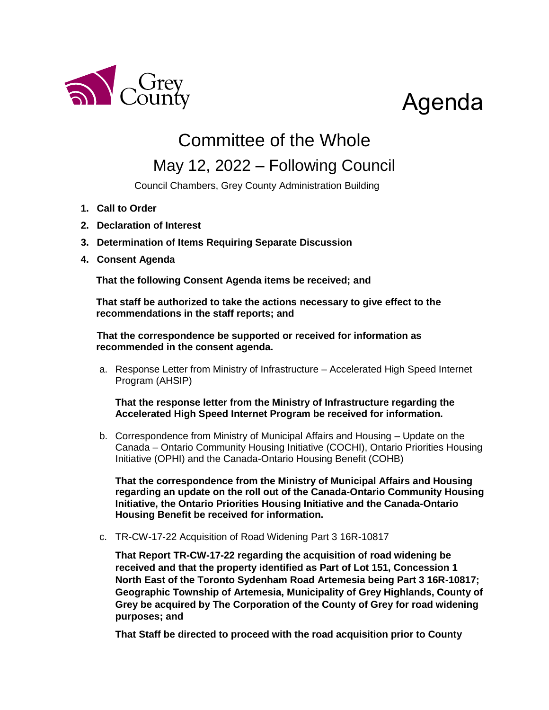

## Agenda

## Committee of the Whole

## May 12, 2022 – Following Council

Council Chambers, Grey County Administration Building

- **1. Call to Order**
- **2. Declaration of Interest**
- **3. Determination of Items Requiring Separate Discussion**
- **4. Consent Agenda**

**That the following Consent Agenda items be received; and**

**That staff be authorized to take the actions necessary to give effect to the recommendations in the staff reports; and**

**That the correspondence be supported or received for information as recommended in the consent agenda.**

a. Response Letter from Ministry of Infrastructure – Accelerated High Speed Internet Program (AHSIP)

**That the response letter from the Ministry of Infrastructure regarding the Accelerated High Speed Internet Program be received for information.** 

b. Correspondence from Ministry of Municipal Affairs and Housing – Update on the Canada – Ontario Community Housing Initiative (COCHI), Ontario Priorities Housing Initiative (OPHI) and the Canada-Ontario Housing Benefit (COHB)

**That the correspondence from the Ministry of Municipal Affairs and Housing regarding an update on the roll out of the Canada-Ontario Community Housing Initiative, the Ontario Priorities Housing Initiative and the Canada-Ontario Housing Benefit be received for information.** 

c. TR-CW-17-22 Acquisition of Road Widening Part 3 16R-10817

**That Report TR-CW-17-22 regarding the acquisition of road widening be received and that the property identified as Part of Lot 151, Concession 1 North East of the Toronto Sydenham Road Artemesia being Part 3 16R-10817; Geographic Township of Artemesia, Municipality of Grey Highlands, County of Grey be acquired by The Corporation of the County of Grey for road widening purposes; and**

**That Staff be directed to proceed with the road acquisition prior to County**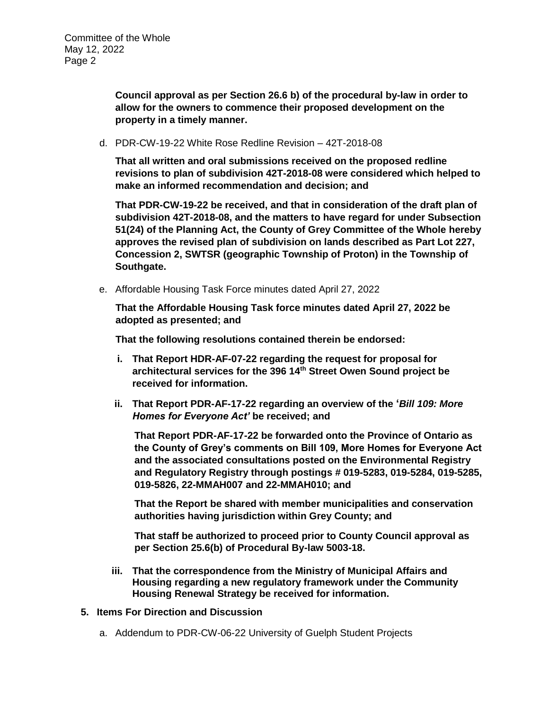**Council approval as per Section 26.6 b) of the procedural by-law in order to allow for the owners to commence their proposed development on the property in a timely manner.**

d. PDR-CW-19-22 White Rose Redline Revision – 42T-2018-08

**That all written and oral submissions received on the proposed redline revisions to plan of subdivision 42T-2018-08 were considered which helped to make an informed recommendation and decision; and**

**That PDR-CW-19-22 be received, and that in consideration of the draft plan of subdivision 42T-2018-08, and the matters to have regard for under Subsection 51(24) of the Planning Act, the County of Grey Committee of the Whole hereby approves the revised plan of subdivision on lands described as Part Lot 227, Concession 2, SWTSR (geographic Township of Proton) in the Township of Southgate.**

e. Affordable Housing Task Force minutes dated April 27, 2022

**That the Affordable Housing Task force minutes dated April 27, 2022 be adopted as presented; and**

**That the following resolutions contained therein be endorsed:**

- **i. That Report HDR-AF-07-22 regarding the request for proposal for architectural services for the 396 14th Street Owen Sound project be received for information.**
- **ii. That Report PDR-AF-17-22 regarding an overview of the '***Bill 109: More Homes for Everyone Act'* **be received; and**

**That Report PDR-AF-17-22 be forwarded onto the Province of Ontario as the County of Grey's comments on Bill 109, More Homes for Everyone Act and the associated consultations posted on the Environmental Registry and Regulatory Registry through postings # 019-5283, 019-5284, 019-5285, 019-5826, 22-MMAH007 and 22-MMAH010; and**

**That the Report be shared with member municipalities and conservation authorities having jurisdiction within Grey County; and**

**That staff be authorized to proceed prior to County Council approval as per Section 25.6(b) of Procedural By-law 5003-18.**

- **iii. That the correspondence from the Ministry of Municipal Affairs and Housing regarding a new regulatory framework under the Community Housing Renewal Strategy be received for information.**
- **5. Items For Direction and Discussion**
	- a. Addendum to PDR-CW-06-22 University of Guelph Student Projects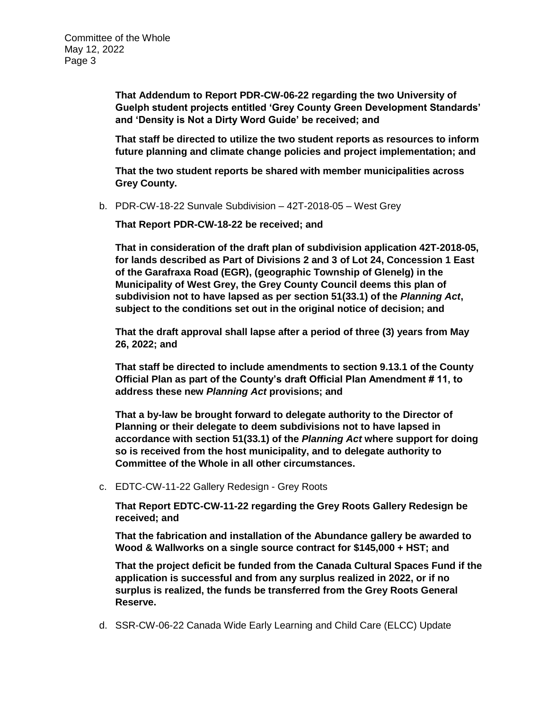**That Addendum to Report PDR-CW-06-22 regarding the two University of Guelph student projects entitled 'Grey County Green Development Standards' and 'Density is Not a Dirty Word Guide' be received; and**

**That staff be directed to utilize the two student reports as resources to inform future planning and climate change policies and project implementation; and**

**That the two student reports be shared with member municipalities across Grey County.**

b. PDR-CW-18-22 Sunvale Subdivision – 42T-2018-05 – West Grey

**That Report PDR-CW-18-22 be received; and**

**That in consideration of the draft plan of subdivision application 42T-2018-05, for lands described as Part of Divisions 2 and 3 of Lot 24, Concession 1 East of the Garafraxa Road (EGR), (geographic Township of Glenelg) in the Municipality of West Grey, the Grey County Council deems this plan of subdivision not to have lapsed as per section 51(33.1) of the** *Planning Act***, subject to the conditions set out in the original notice of decision; and**

**That the draft approval shall lapse after a period of three (3) years from May 26, 2022; and** 

**That staff be directed to include amendments to section 9.13.1 of the County Official Plan as part of the County's draft Official Plan Amendment # 11, to address these new** *Planning Act* **provisions; and**

**That a by-law be brought forward to delegate authority to the Director of Planning or their delegate to deem subdivisions not to have lapsed in accordance with section 51(33.1) of the** *Planning Act* **where support for doing so is received from the host municipality, and to delegate authority to Committee of the Whole in all other circumstances.**

c. EDTC-CW-11-22 Gallery Redesign - Grey Roots

**That Report EDTC-CW-11-22 regarding the Grey Roots Gallery Redesign be received; and**

**That the fabrication and installation of the Abundance gallery be awarded to Wood & Wallworks on a single source contract for \$145,000 + HST; and**

**That the project deficit be funded from the Canada Cultural Spaces Fund if the application is successful and from any surplus realized in 2022, or if no surplus is realized, the funds be transferred from the Grey Roots General Reserve.** 

d. SSR-CW-06-22 Canada Wide Early Learning and Child Care (ELCC) Update